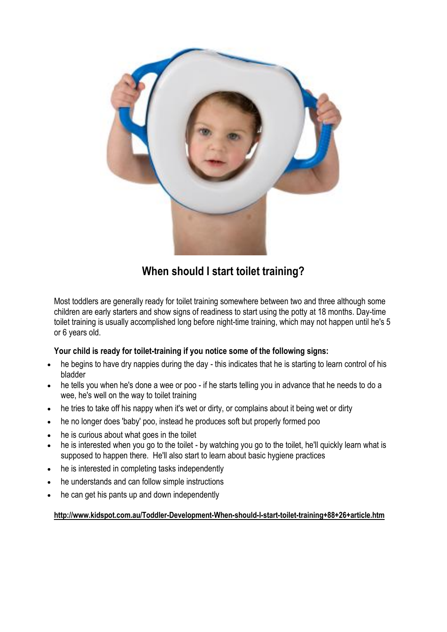

## **When should I start toilet training?**

Most toddlers are generally ready for toilet training somewhere between two and three although some children are early starters and show signs of readiness to start using the potty at 18 months. Day-time toilet training is usually accomplished long before night-time training, which may not happen until he's 5 or 6 years old.

### **Your child is ready for toilet-training if you notice some of the following signs:**

- he begins to have dry nappies during the day this indicates that he is starting to learn control of his bladder
- he tells you when he's done a wee or poo if he starts telling you in advance that he needs to do a wee, he's wel[l on the way to toilet training](http://www.kidspot.com.au/Toddler-Development-Preparing-for-toilet-training+89+26+article.htm)
- he tries to take off his nappy when it's wet or dirty, or complains about it being wet or dirty
- he no longer does 'baby' poo, instead he produces soft but properly formed poo
- he is curious about what goes in the toilet
- he is interested when you go to the toilet by watching you go to the toilet, he'll quickly learn what is supposed to happen there. He'll also start to learn about basic hygiene [practices](http://http/www.kidspot.com.au/Toddler-Health-Toddler-hygiene+75+28+article.htm)
- he is interested in completing tasks independently
- he understands and can follow simple instructions
- he can get his pants up and down independently

#### **http://www.kidspot.com.au/Toddler-Development-When-should-I-start-toilet-training+88+26+article.htm**